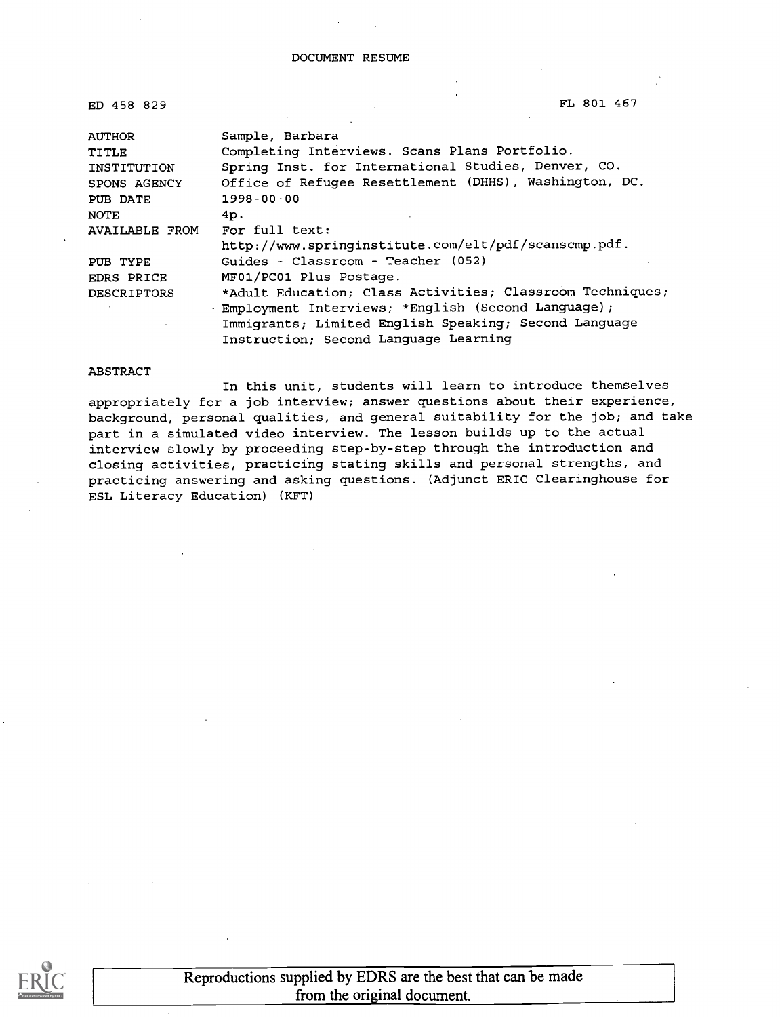| ED 458 829            | FL 801 467                                                |
|-----------------------|-----------------------------------------------------------|
| <b>AUTHOR</b>         | Sample, Barbara                                           |
| <b>TITLE</b>          | Completing Interviews. Scans Plans Portfolio.             |
| INSTITUTION           | Spring Inst. for International Studies, Denver, CO.       |
| SPONS AGENCY          | Office of Refugee Resettlement (DHHS), Washington, DC.    |
| PUB DATE              | $1998 - 00 - 00$                                          |
| NOTE                  | 4p.                                                       |
| <b>AVAILABLE FROM</b> | For full text:                                            |
|                       | http://www.springinstitute.com/elt/pdf/scanscmp.pdf.      |
| PUB TYPE              | Guides - Classroom - Teacher (052)                        |
| <b>EDRS PRICE</b>     | MF01/PC01 Plus Postage.                                   |
| <b>DESCRIPTORS</b>    | *Adult Education; Class Activities; Classroom Techniques; |
|                       | · Employment Interviews; *English (Second Language);      |
|                       | Immigrants; Limited English Speaking; Second Language     |
|                       | Instruction; Second Language Learning                     |

#### ABSTRACT

In this unit, students will learn to introduce themselves appropriately for a job interview; answer questions about their experience, background, personal qualities, and general suitability for the job; and take part in a simulated video interview. The lesson builds up to the actual interview slowly by proceeding step-by-step through the introduction and closing activities, practicing stating skills and personal strengths, and practicing answering and asking questions. (Adjunct ERIC Clearinghouse for ESL Literacy Education) (KFT)



Reproductions supplied by EDRS are the best that can be made from the original document.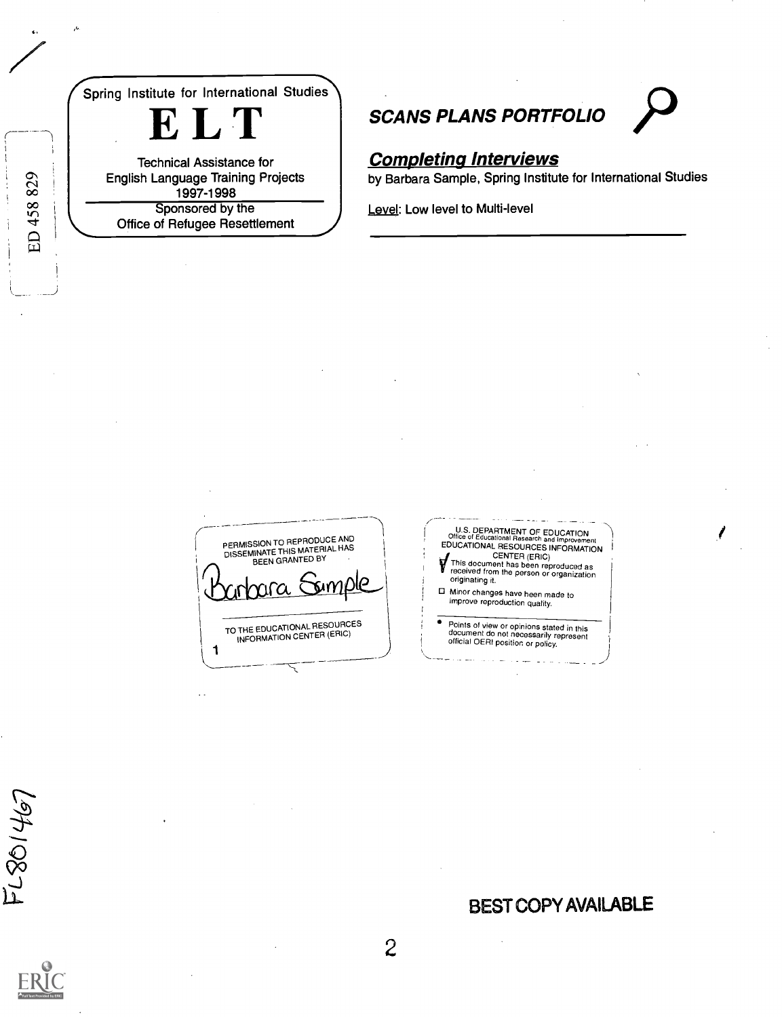

 $s$ CANS PLANS PORTFOLIO

### Completing Interviews

by Barbara Sample, Spring Institute for International Studies

Level: Low level to Multi-level

PERMISSION TO REPRODUCE AND<br>DISSEMINATE THIS MATERIAL HAS<br>BEEN GRANTED BY <u>simple</u> nra TO THE EDUCATIONAL RESOURCES INFORMATION CENTER (ERIC) 1

<sup>i</sup> U.S. DEPARTMENT OF EDUCATION Office of Educational Research and Improvement EDUCATIONAL RESOURCES INFORMATION **i**<br>This document has been reproduced as<br>received from the person or organization originating it. I0 Minor changes have been made to . improve reproduction quality.

Points of view or opinions stated in this document do not necessarily represent official OERI position or policy.

### BEST COPY AVAILABLE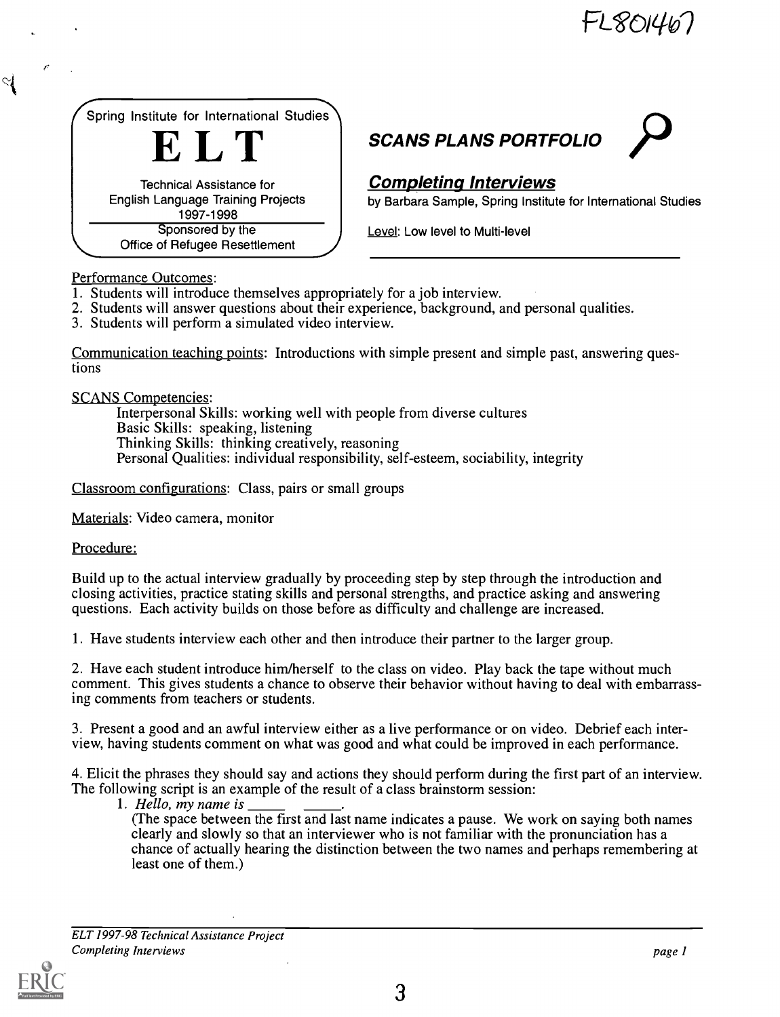$PLXO146$ 

| Spring Institute for International Studies                                                |  |
|-------------------------------------------------------------------------------------------|--|
| <b>Technical Assistance for</b><br><b>English Language Training Projects</b><br>1997-1998 |  |
| Sponsored by the<br>Office of Refugee Resettlement                                        |  |

# **SCANS PLANS PORTFOLIO** SCANS PLANS PORTFOLIO

### Completing Interviews

by Barbara Sample, Spring Institute for International Studies

Level: Low level to Multi-level

Performance Outcomes:

- 1. Students will introduce themselves appropriately for a job interview.
- 2. Students will answer questions about their experience, background, and personal qualities.
- 3. Students will perform a simulated video interview.

Communication teaching points: Introductions with simple present and simple past, answering questions

SCANS Competencies:

Interpersonal Skills: working well with people from diverse cultures Basic Skills: speaking, listening Thinking Skills: thinking creatively, reasoning Personal Qualities: individual responsibility, self-esteem, sociability, integrity

Classroom configurations: Class, pairs or small groups

Materials: Video camera, monitor

Procedure:

Build up to the actual interview gradually by proceeding step by step through the introduction and closing activities, practice stating skills and personal strengths, and practice asking and answering questions. Each activity builds on those before as difficulty and challenge are increased.

1. Have students interview each other and then introduce their partner to the larger group.

2. Have each student introduce him/herself to the class on video. Play back the tape without much comment. This gives students a chance to observe their behavior without having to deal with embarrassing comments from teachers or students.

3. Present a good and an awful interview either as a live performance or on video. Debrief each interview, having students comment on what was good and what could be improved in each performance.

4. Elicit the phrases they should say and actions they should perform during the first part of an interview. The following script is an example of the result of a class brainstorm session:

1. Hello, my name is

(The space between the first and last name indicates a pause. We work on saying both names clearly and slowly so that an interviewer who is not familiar with the pronunciation has a chance of actually hearing the distinction between the two names and perhaps remembering at least one of them.)

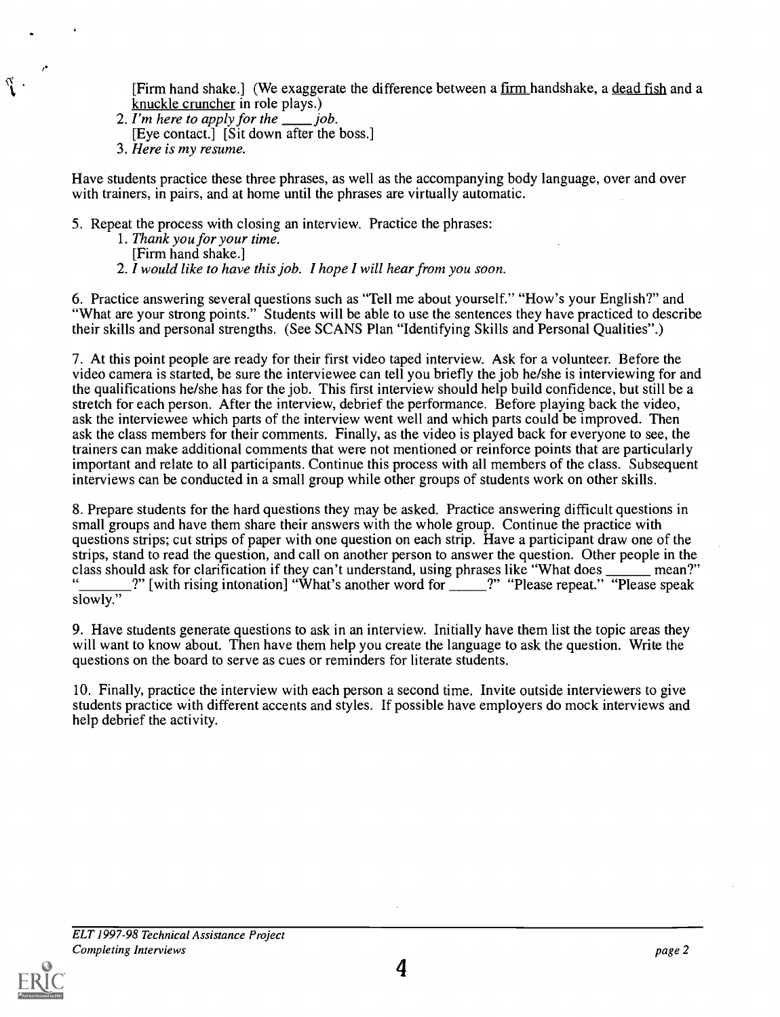[Firm hand shake.] (We exaggerate the difference between a firm handshake, a dead fish and a

- knuckle cruncher in role plays.)<br>I'm here to apply for the  $\frac{1}{\cos(1)}$  job. 2. I'm here to apply for the  $\overline{\phantom{a}}$ 
	- [Eye contact.] [Sit down after the boss.]
- 3. Here is my resume.

I\*

Have students practice these three phrases, as well as the accompanying body language, over and over with trainers, in pairs, and at home until the phrases are virtually automatic.

5. Repeat the process with closing an interview. Practice the phrases:

- 1. Thank you for your time.
- [Firm hand shake.]
- 2. I would like to have this job. I hope I will hear from you soon.

6. Practice answering several questions such as "Tell me about yourself." "How's your English?" and "What are your strong points." Students will be able to use the sentences they have practiced to describe their skills and personal strengths. (See SCANS Plan "Identifying Skills and Personal Qualities".)

7. At this point people are ready for their first video taped interview. Ask for a volunteer. Before the video camera is started, be sure the interviewee can tell you briefly the job he/she is interviewing for and the qualifications he/she has for the job. This first interview should help build confidence, but still be a stretch for each person. After the interview, debrief the performance. Before playing back the video, ask the interviewee which parts of the interview went well and which parts could be improved. Then ask the class members for their comments. Finally, as the video is played back for everyone to see, the trainers can make additional comments that were not mentioned or reinforce points that are particularly important and relate to all participants. Continue this process with all members of the class. Subsequent interviews can be conducted in a small group while other groups of students work on other skills.

8. Prepare students for the hard questions they may be asked. Practice answering difficult questions in small groups and have them share their answers with the whole group. Continue the practice with questions strips; cut strips of paper with one question on each strip. Have a participant draw one of the strips, stand to read the question, and call on another person to answer the question. Other people in the class should ask for clarification if they can't understand, using phrases like "What does \_\_\_\_\_ mean?"  $\frac{1}{2}$ . [with rising intonation] "What's another word for  $\frac{1}{2}$ . "Please repeat." "Please speak." slowly."

9. Have students generate questions to ask in an interview. Initially have them list the topic areas they will want to know about. Then have them help you create the language to ask the question. Write the questions on the board to serve as cues or reminders for literate students.

10. Finally, practice the interview with each person a second time. Invite outside interviewers to give students practice with different accents and styles. If possible have employers do mock interviews and help debrief the activity.